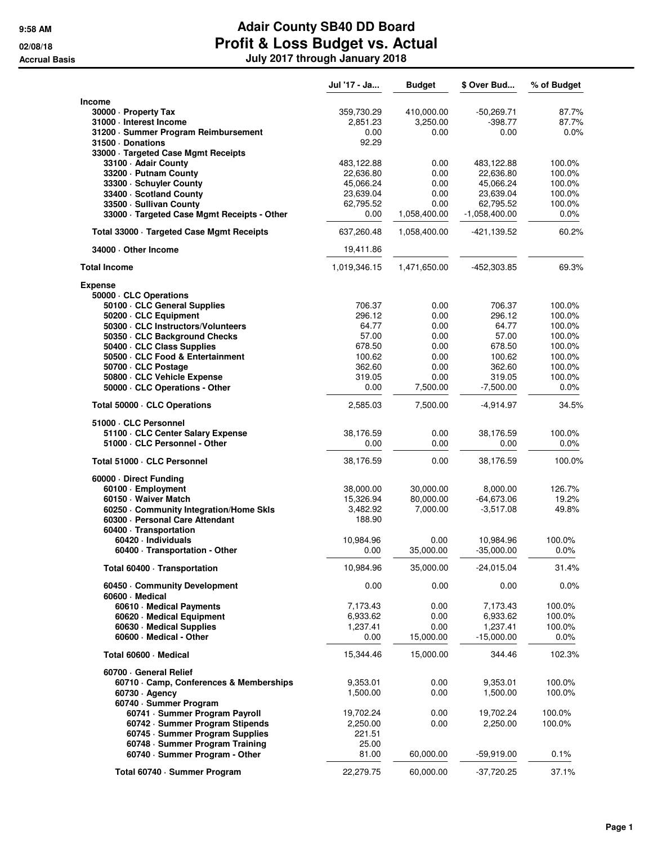|                                              | Jul '17 - Ja | <b>Budget</b> | \$ Over Bud     | % of Budget |
|----------------------------------------------|--------------|---------------|-----------------|-------------|
| <b>Income</b>                                |              |               |                 |             |
| 30000 - Property Tax                         | 359,730.29   | 410,000.00    | $-50,269.71$    | 87.7%       |
| 31000 - Interest Income                      | 2,851.23     | 3,250.00      | $-398.77$       | 87.7%       |
| 31200 · Summer Program Reimbursement         | 0.00         | 0.00          | 0.00            | 0.0%        |
| 31500 Donations                              | 92.29        |               |                 |             |
| 33000 · Targeted Case Mgmt Receipts          |              |               |                 |             |
| 33100 - Adair County                         | 483,122.88   | 0.00          | 483,122.88      | 100.0%      |
| 33200 · Putnam County                        | 22,636.80    | 0.00          | 22,636.80       | 100.0%      |
| 33300 · Schuyler County                      | 45,066.24    | 0.00          | 45,066.24       | 100.0%      |
| 33400 · Scotland County                      | 23,639.04    | 0.00          | 23,639.04       | 100.0%      |
| 33500 · Sullivan County                      | 62,795.52    | 0.00          | 62,795.52       | 100.0%      |
| 33000 · Targeted Case Mgmt Receipts - Other  | 0.00         | 1,058,400.00  | $-1,058,400.00$ | $0.0\%$     |
|                                              |              |               |                 |             |
| Total 33000 · Targeted Case Mgmt Receipts    | 637,260.48   | 1,058,400.00  | -421,139.52     | 60.2%       |
| 34000 Other Income                           | 19,411.86    |               |                 |             |
| <b>Total Income</b>                          | 1,019,346.15 | 1,471,650.00  | $-452,303.85$   | 69.3%       |
| <b>Expense</b>                               |              |               |                 |             |
| 50000 · CLC Operations                       |              |               |                 |             |
| 50100 · CLC General Supplies                 | 706.37       | 0.00          | 706.37          | 100.0%      |
| 50200 · CLC Equipment                        | 296.12       | 0.00          | 296.12          | 100.0%      |
| 50300 · CLC Instructors/Volunteers           | 64.77        | 0.00          | 64.77           | 100.0%      |
| 50350 · CLC Background Checks                | 57.00        | 0.00          | 57.00           | 100.0%      |
| 50400 · CLC Class Supplies                   | 678.50       | 0.00          | 678.50          | 100.0%      |
| 50500 · CLC Food & Entertainment             | 100.62       | 0.00          | 100.62          | 100.0%      |
| 50700 · CLC Postage                          | 362.60       | 0.00          | 362.60          | 100.0%      |
| 50800 · CLC Vehicle Expense                  | 319.05       | 0.00          | 319.05          | 100.0%      |
| 50000 · CLC Operations - Other               | 0.00         | 7,500.00      | $-7,500.00$     | $0.0\%$     |
| Total 50000 · CLC Operations                 | 2,585.03     | 7,500.00      | $-4,914.97$     | 34.5%       |
| 51000 · CLC Personnel                        |              |               |                 |             |
| 51100 · CLC Center Salary Expense            | 38,176.59    | 0.00          | 38,176.59       | 100.0%      |
| 51000 · CLC Personnel - Other                | 0.00         | 0.00          | 0.00            | $0.0\%$     |
| Total 51000 · CLC Personnel                  | 38,176.59    | 0.00          | 38,176.59       | 100.0%      |
| 60000 Direct Funding                         |              |               |                 |             |
| 60100 · Employment                           | 38,000.00    | 30,000.00     | 8,000.00        | 126.7%      |
| 60150 · Waiver Match                         | 15,326.94    | 80.000.00     | $-64,673.06$    | 19.2%       |
| 60250 Community Integration/Home Skls        | 3,482.92     | 7,000.00      | $-3,517.08$     | 49.8%       |
| 60300 - Personal Care Attendant              | 188.90       |               |                 |             |
| 60400 · Transportation                       |              |               |                 |             |
| 60420 · Individuals                          | 10,984.96    | 0.00          | 10,984.96       | 100.0%      |
| 60400 · Transportation - Other               | 0.00         | 35,000.00     | $-35,000.00$    | 0.0%        |
|                                              |              |               |                 |             |
| Total 60400 · Transportation                 | 10,984.96    | 35,000.00     | $-24,015.04$    | 31.4%       |
| 60450 Community Development<br>60600 Medical | 0.00         | 0.00          | 0.00            | 0.0%        |
| 60610 · Medical Payments                     | 7,173.43     | 0.00          | 7,173.43        | 100.0%      |
| 60620 · Medical Equipment                    | 6,933.62     | 0.00          | 6,933.62        | 100.0%      |
| 60630 Medical Supplies                       | 1,237.41     | 0.00          | 1,237.41        | 100.0%      |
| 60600 · Medical - Other                      | 0.00         | 15,000.00     | -15,000.00      | $0.0\%$     |
|                                              |              |               |                 |             |
| Total 60600 · Medical                        | 15,344.46    | 15,000.00     | 344.46          | 102.3%      |
| 60700 General Relief                         |              |               |                 |             |
| 60710 Camp, Conferences & Memberships        | 9,353.01     | 0.00          | 9,353.01        | 100.0%      |
| $60730 \cdot$ Agency                         | 1,500.00     | 0.00          | 1,500.00        | 100.0%      |
| 60740 · Summer Program                       |              |               |                 |             |
| 60741 · Summer Program Payroll               | 19,702.24    | 0.00          | 19,702.24       | 100.0%      |
| 60742 · Summer Program Stipends              | 2,250.00     | 0.00          | 2,250.00        | 100.0%      |
| 60745 · Summer Program Supplies              | 221.51       |               |                 |             |
| 60748 · Summer Program Training              | 25.00        |               |                 |             |
| 60740 · Summer Program - Other               | 81.00        | 60,000.00     | $-59,919.00$    | 0.1%        |
|                                              |              |               |                 |             |
| Total 60740 · Summer Program                 | 22,279.75    | 60,000.00     | $-37,720.25$    | 37.1%       |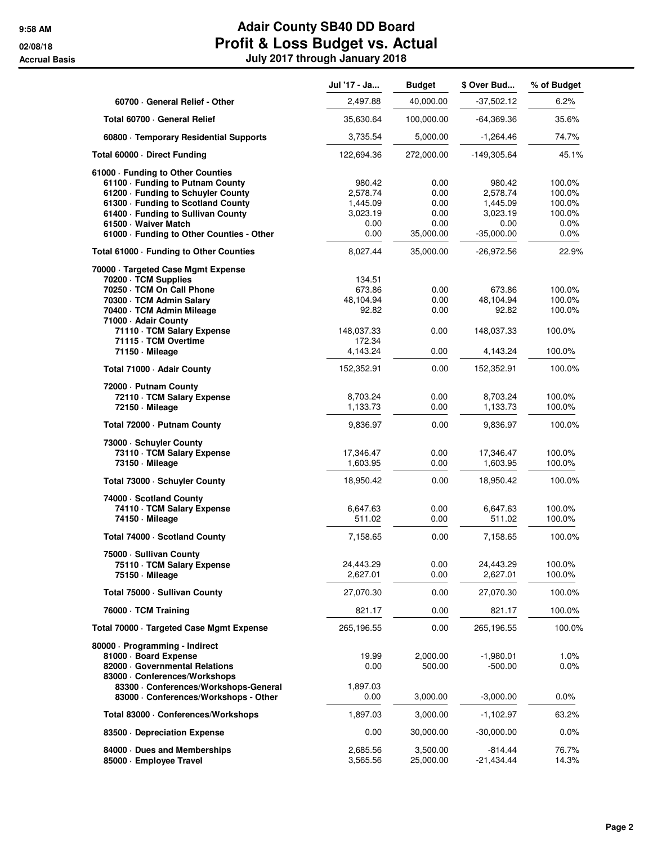|                                                                   | Jul '17 - Ja | <b>Budget</b> | \$ Over Bud          | % of Budget        |
|-------------------------------------------------------------------|--------------|---------------|----------------------|--------------------|
| 60700 General Relief - Other                                      | 2,497.88     | 40,000.00     | $-37,502.12$         | 6.2%               |
| Total 60700 · General Relief                                      | 35,630.64    | 100,000.00    | -64,369.36           | 35.6%              |
| 60800 · Temporary Residential Supports                            | 3,735.54     | 5,000.00      | $-1,264.46$          | 74.7%              |
| Total 60000 · Direct Funding                                      | 122,694.36   | 272,000.00    | -149,305.64          | 45.1%              |
| 61000 - Funding to Other Counties                                 |              |               |                      |                    |
| 61100 · Funding to Putnam County                                  | 980.42       | 0.00          | 980.42               | 100.0%             |
| 61200 - Funding to Schuyler County                                | 2,578.74     | 0.00          | 2,578.74             | 100.0%             |
| 61300 · Funding to Scotland County                                | 1,445.09     | 0.00          | 1,445.09             | 100.0%             |
| 61400 · Funding to Sullivan County                                | 3,023.19     | 0.00<br>0.00  | 3,023.19             | 100.0%             |
| 61500 · Waiver Match<br>61000 · Funding to Other Counties - Other | 0.00<br>0.00 | 35,000.00     | 0.00<br>$-35,000.00$ | $0.0\%$<br>$0.0\%$ |
| Total 61000 · Funding to Other Counties                           | 8,027.44     | 35,000.00     | -26,972.56           | 22.9%              |
| 70000 · Targeted Case Mgmt Expense                                |              |               |                      |                    |
| 70200 · TCM Supplies                                              | 134.51       |               |                      |                    |
| 70250 · TCM On Call Phone                                         | 673.86       | 0.00          | 673.86               | 100.0%             |
| 70300 · TCM Admin Salary                                          | 48,104.94    | 0.00          | 48,104.94            | 100.0%             |
| 70400 · TCM Admin Mileage<br>71000 - Adair County                 | 92.82        | 0.00          | 92.82                | 100.0%             |
| 71110 · TCM Salary Expense                                        | 148,037.33   | 0.00          | 148,037.33           | 100.0%             |
| 71115 · TCM Overtime                                              | 172.34       |               |                      |                    |
| 71150 - Mileage                                                   | 4,143.24     | 0.00          | 4,143.24             | 100.0%             |
| Total 71000 · Adair County                                        | 152,352.91   | 0.00          | 152,352.91           | 100.0%             |
| 72000 - Putnam County                                             |              |               |                      |                    |
| 72110 · TCM Salary Expense                                        | 8,703.24     | 0.00          | 8,703.24             | 100.0%             |
| 72150 - Mileage                                                   | 1,133.73     | 0.00          | 1,133.73             | 100.0%             |
| Total 72000 - Putnam County                                       | 9,836.97     | 0.00          | 9,836.97             | 100.0%             |
| 73000 · Schuyler County                                           |              |               |                      |                    |
| 73110 · TCM Salary Expense                                        | 17,346.47    | 0.00          | 17,346.47            | 100.0%             |
| 73150 - Mileage                                                   | 1,603.95     | 0.00          | 1,603.95             | 100.0%             |
| Total 73000 · Schuyler County                                     | 18,950.42    | 0.00          | 18,950.42            | 100.0%             |
| 74000 · Scotland County                                           |              |               |                      |                    |
| 74110 · TCM Salary Expense                                        | 6,647.63     | 0.00          | 6,647.63             | 100.0%             |
| 74150 · Mileage                                                   | 511.02       | 0.00          | 511.02               | 100.0%             |
| Total 74000 · Scotland County                                     | 7,158.65     | 0.00          | 7,158.65             | 100.0%             |
| 75000 · Sullivan County                                           |              |               |                      |                    |
| 75110 · TCM Salary Expense                                        | 24,443.29    | 0.00          | 24,443.29            | 100.0%             |
| 75150 - Mileage                                                   | 2,627.01     | 0.00          | 2,627.01             | 100.0%             |
| Total 75000 - Sullivan County                                     | 27,070.30    | 0.00          | 27,070.30            | 100.0%             |
| 76000 · TCM Training                                              | 821.17       | 0.00          | 821.17               | 100.0%             |
| Total 70000 · Targeted Case Mgmt Expense                          | 265,196.55   | 0.00          | 265,196.55           | 100.0%             |
| 80000 · Programming - Indirect                                    |              |               |                      |                    |
| 81000 · Board Expense                                             | 19.99        | 2,000.00      | $-1,980.01$          | $1.0\%$            |
| 82000 Governmental Relations                                      | 0.00         | 500.00        | $-500.00$            | 0.0%               |
| 83000 · Conferences/Workshops                                     |              |               |                      |                    |
| 83300 · Conferences/Workshops-General                             | 1,897.03     |               |                      |                    |
| 83000 · Conferences/Workshops - Other                             | 0.00         | 3,000.00      | $-3,000.00$          | 0.0%               |
| Total 83000 · Conferences/Workshops                               | 1,897.03     | 3,000.00      | $-1,102.97$          | 63.2%              |
| 83500 Depreciation Expense                                        | 0.00         | 30,000.00     | $-30,000.00$         | $0.0\%$            |
| 84000 Dues and Memberships                                        | 2,685.56     | 3,500.00      | $-814.44$            | 76.7%              |
| 85000 · Employee Travel                                           | 3,565.56     | 25,000.00     | $-21,434.44$         | 14.3%              |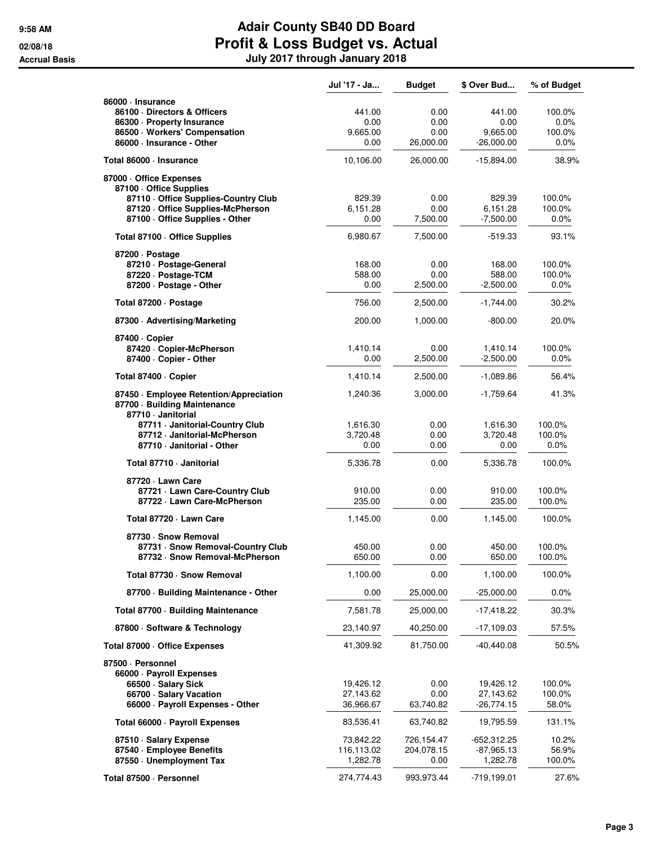|                                                                                                                                             | Jul '17 - Ja                        | <b>Budget</b>                     | \$ Over Bud                                | % of Budget                      |
|---------------------------------------------------------------------------------------------------------------------------------------------|-------------------------------------|-----------------------------------|--------------------------------------------|----------------------------------|
| 86000 · Insurance<br>86100 Directors & Officers<br>86300 · Property Insurance<br>86500 · Workers' Compensation<br>86000 · Insurance - Other | 441.00<br>0.00<br>9,665.00<br>0.00  | 0.00<br>0.00<br>0.00<br>26,000.00 | 441.00<br>0.00<br>9,665.00<br>$-26,000.00$ | 100.0%<br>0.0%<br>100.0%<br>0.0% |
| Total 86000 · Insurance                                                                                                                     | 10,106.00                           | 26,000.00                         | $-15,894.00$                               | 38.9%                            |
| 87000 · Office Expenses<br>87100 Office Supplies<br>87110 - Office Supplies-Country Club                                                    | 829.39                              | 0.00                              | 829.39                                     | 100.0%                           |
| 87120 Office Supplies-McPherson<br>87100 - Office Supplies - Other                                                                          | 6,151.28<br>0.00                    | 0.00<br>7,500.00                  | 6,151.28<br>$-7,500.00$                    | 100.0%<br>$0.0\%$                |
| Total 87100 Office Supplies                                                                                                                 | 6,980.67                            | 7,500.00                          | -519.33                                    | 93.1%                            |
| 87200 · Postage<br>87210 · Postage-General<br>87220 · Postage-TCM<br>87200 · Postage - Other                                                | 168.00<br>588.00<br>0.00            | 0.00<br>0.00<br>2,500.00          | 168.00<br>588.00<br>$-2,500.00$            | 100.0%<br>100.0%<br>0.0%         |
| Total 87200 - Postage                                                                                                                       | 756.00                              | 2,500.00                          | $-1,744.00$                                | 30.2%                            |
| 87300 Advertising/Marketing                                                                                                                 | 200.00                              | 1,000.00                          | $-800.00$                                  | 20.0%                            |
| 87400 · Copier<br>87420 · Copier-McPherson<br>87400 · Copier - Other                                                                        | 1,410.14<br>0.00                    | 0.00<br>2,500.00                  | 1,410.14<br>$-2,500.00$                    | 100.0%<br>$0.0\%$                |
| Total 87400 · Copier                                                                                                                        | 1,410.14                            | 2,500.00                          | $-1,089.86$                                | 56.4%                            |
| 87450 · Employee Retention/Appreciation<br>87700 Building Maintenance<br>87710 · Janitorial                                                 | 1,240.36                            | 3,000.00                          | $-1,759.64$                                | 41.3%                            |
| 87711 Janitorial-Country Club<br>87712 - Janitorial-McPherson<br>87710 - Janitorial - Other                                                 | 1,616.30<br>3,720.48<br>0.00        | 0.00<br>0.00<br>0.00              | 1,616.30<br>3,720.48<br>0.00               | 100.0%<br>100.0%<br>$0.0\%$      |
| Total 87710 · Janitorial                                                                                                                    | 5,336.78                            | 0.00                              | 5,336.78                                   | 100.0%                           |
| 87720 · Lawn Care<br>87721 - Lawn Care-Country Club<br>87722 · Lawn Care-McPherson                                                          | 910.00<br>235.00                    | 0.00<br>0.00                      | 910.00<br>235.00                           | 100.0%<br>100.0%                 |
| Total 87720 - Lawn Care                                                                                                                     | 1,145.00                            | 0.00                              | 1,145.00                                   | 100.0%                           |
| 87730 · Snow Removal<br>87731 · Snow Removal-Country Club<br>87732 · Snow Removal-McPherson                                                 | 450.00<br>650.00                    | 0.00<br>0.00                      | 450.00<br>650.00                           | 100.0%<br>100.0%                 |
| Total 87730 · Snow Removal                                                                                                                  | 1,100.00                            | 0.00                              | 1,100.00                                   | 100.0%                           |
| 87700 · Building Maintenance - Other                                                                                                        | 0.00                                | 25,000.00                         | $-25,000.00$                               | $0.0\%$                          |
| Total 87700 · Building Maintenance                                                                                                          | 7,581.78                            | 25,000.00                         | $-17,418.22$                               | 30.3%                            |
| 87800 · Software & Technology                                                                                                               | 23,140.97                           | 40,250.00                         | $-17,109.03$                               | 57.5%                            |
| Total 87000 Office Expenses                                                                                                                 | 41,309.92                           | 81,750.00                         | $-40,440.08$                               | 50.5%                            |
| 87500 · Personnel<br>66000 · Payroll Expenses<br>66500 · Salary Sick<br>66700 · Salary Vacation<br>66000 · Payroll Expenses - Other         | 19,426.12<br>27,143.62<br>36,966.67 | 0.00<br>0.00<br>63,740.82         | 19,426.12<br>27,143.62<br>$-26,774.15$     | 100.0%<br>100.0%<br>58.0%        |
| Total 66000 · Payroll Expenses                                                                                                              | 83,536.41                           | 63,740.82                         | 19,795.59                                  | 131.1%                           |
| 87510 · Salary Expense<br>87540 - Employee Benefits<br>87550 Unemployment Tax                                                               | 73,842.22<br>116,113.02<br>1,282.78 | 726,154.47<br>204,078.15<br>0.00  | -652,312.25<br>$-87,965.13$<br>1,282.78    | 10.2%<br>56.9%<br>100.0%         |
| Total 87500 · Personnel                                                                                                                     | 274,774.43                          | 993,973.44                        | $-719,199.01$                              | 27.6%                            |